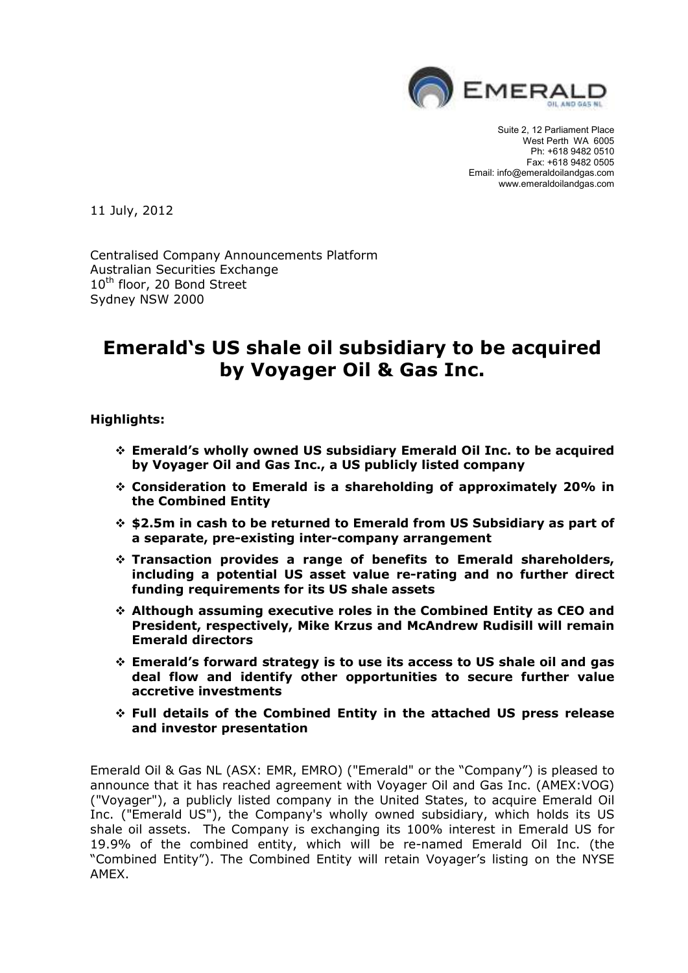

Suite 2, 12 Parliament Place West Perth WA 6005 Ph: +618 9482 0510 Fax: +618 9482 0505 Email: info@emeraldoilandgas.com www.emeraldoilandgas.com

11 July, 2012

Centralised Company Announcements Platform Australian Securities Exchange 10<sup>th</sup> floor, 20 Bond Street Sydney NSW 2000

# **Emerald's US shale oil subsidiary to be acquired by Voyager Oil & Gas Inc.**

**Highlights:** 

- **Emerald's wholly owned US subsidiary Emerald Oil Inc. to be acquired by Voyager Oil and Gas Inc., a US publicly listed company**
- **Consideration to Emerald is a shareholding of approximately 20% in the Combined Entity**
- **\$2.5m in cash to be returned to Emerald from US Subsidiary as part of a separate, pre-existing inter-company arrangement**
- **Transaction provides a range of benefits to Emerald shareholders, including a potential US asset value re-rating and no further direct funding requirements for its US shale assets**
- **Although assuming executive roles in the Combined Entity as CEO and President, respectively, Mike Krzus and McAndrew Rudisill will remain Emerald directors**
- **Emerald's forward strategy is to use its access to US shale oil and gas deal flow and identify other opportunities to secure further value accretive investments**
- **Full details of the Combined Entity in the attached US press release and investor presentation**

Emerald Oil & Gas NL (ASX: EMR, EMRO) ("Emerald" or the "Company") is pleased to announce that it has reached agreement with Voyager Oil and Gas Inc. (AMEX:VOG) ("Voyager"), a publicly listed company in the United States, to acquire Emerald Oil Inc. ("Emerald US"), the Company's wholly owned subsidiary, which holds its US shale oil assets. The Company is exchanging its 100% interest in Emerald US for 19.9% of the combined entity, which will be re-named Emerald Oil Inc. (the "Combined Entity"). The Combined Entity will retain Voyager's listing on the NYSE AMEX.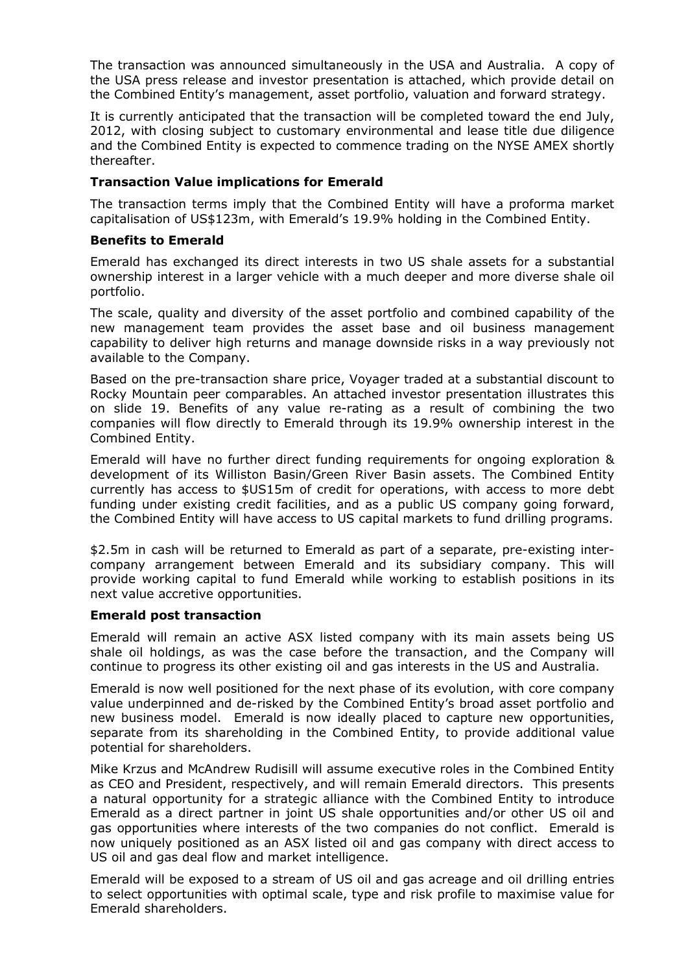The transaction was announced simultaneously in the USA and Australia. A copy of the USA press release and investor presentation is attached, which provide detail on the Combined Entity's management, asset portfolio, valuation and forward strategy.

It is currently anticipated that the transaction will be completed toward the end July, 2012, with closing subject to customary environmental and lease title due diligence and the Combined Entity is expected to commence trading on the NYSE AMEX shortly thereafter.

# **Transaction Value implications for Emerald**

The transaction terms imply that the Combined Entity will have a proforma market capitalisation of US\$123m, with Emerald's 19.9% holding in the Combined Entity.

# **Benefits to Emerald**

Emerald has exchanged its direct interests in two US shale assets for a substantial ownership interest in a larger vehicle with a much deeper and more diverse shale oil portfolio.

The scale, quality and diversity of the asset portfolio and combined capability of the new management team provides the asset base and oil business management capability to deliver high returns and manage downside risks in a way previously not available to the Company.

Based on the pre-transaction share price, Voyager traded at a substantial discount to Rocky Mountain peer comparables. An attached investor presentation illustrates this on slide 19. Benefits of any value re-rating as a result of combining the two companies will flow directly to Emerald through its 19.9% ownership interest in the Combined Entity.

Emerald will have no further direct funding requirements for ongoing exploration & development of its Williston Basin/Green River Basin assets. The Combined Entity currently has access to \$US15m of credit for operations, with access to more debt funding under existing credit facilities, and as a public US company going forward, the Combined Entity will have access to US capital markets to fund drilling programs.

\$2.5m in cash will be returned to Emerald as part of a separate, pre-existing intercompany arrangement between Emerald and its subsidiary company. This will provide working capital to fund Emerald while working to establish positions in its next value accretive opportunities.

# **Emerald post transaction**

Emerald will remain an active ASX listed company with its main assets being US shale oil holdings, as was the case before the transaction, and the Company will continue to progress its other existing oil and gas interests in the US and Australia.

Emerald is now well positioned for the next phase of its evolution, with core company value underpinned and de-risked by the Combined Entity's broad asset portfolio and new business model. Emerald is now ideally placed to capture new opportunities, separate from its shareholding in the Combined Entity, to provide additional value potential for shareholders.

Mike Krzus and McAndrew Rudisill will assume executive roles in the Combined Entity as CEO and President, respectively, and will remain Emerald directors. This presents a natural opportunity for a strategic alliance with the Combined Entity to introduce Emerald as a direct partner in joint US shale opportunities and/or other US oil and gas opportunities where interests of the two companies do not conflict. Emerald is now uniquely positioned as an ASX listed oil and gas company with direct access to US oil and gas deal flow and market intelligence.

Emerald will be exposed to a stream of US oil and gas acreage and oil drilling entries to select opportunities with optimal scale, type and risk profile to maximise value for Emerald shareholders.